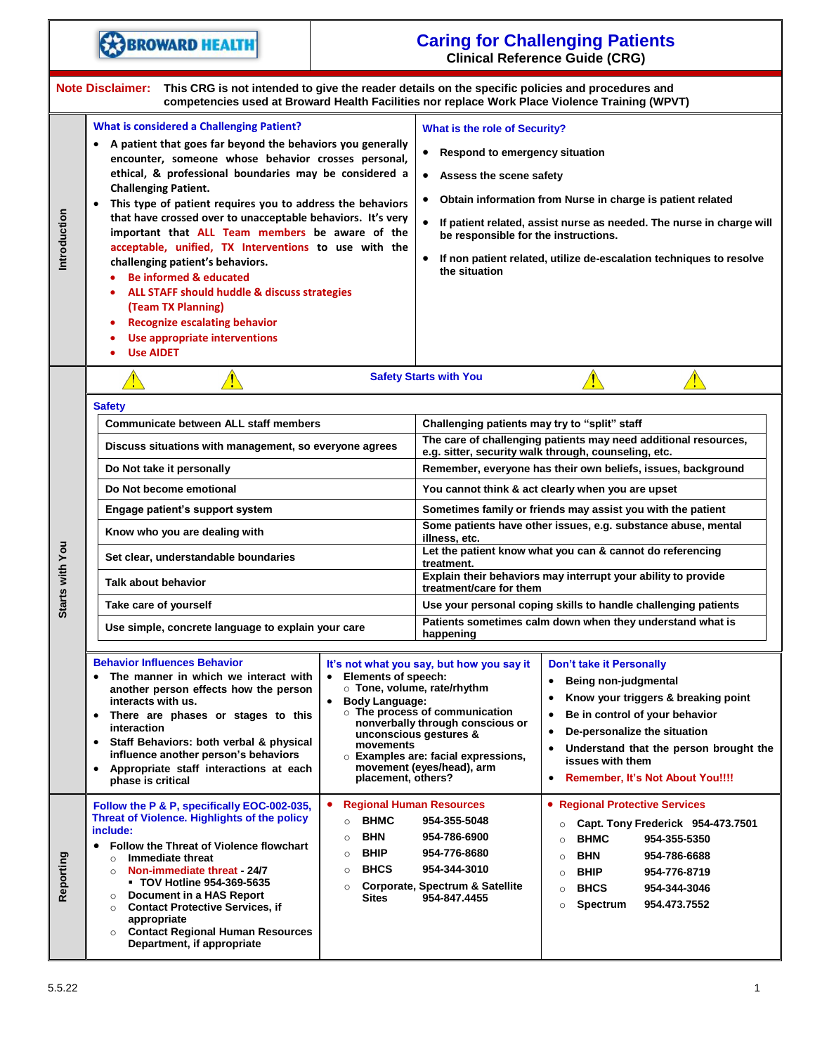|                 | <b>BROWARD HEALTH</b>                                                                                                                                                                                                                                                                                                                                                                                                                                                                                                                                                                                                                                                                                                                                              |                                                                                                                                                                   | <b>Caring for Challenging Patients</b><br><b>Clinical Reference Guide (CRG)</b>                                                                                                                                                                                                                                                                                                                |                                                                                                                                                                                                                                                                                                      |  |
|-----------------|--------------------------------------------------------------------------------------------------------------------------------------------------------------------------------------------------------------------------------------------------------------------------------------------------------------------------------------------------------------------------------------------------------------------------------------------------------------------------------------------------------------------------------------------------------------------------------------------------------------------------------------------------------------------------------------------------------------------------------------------------------------------|-------------------------------------------------------------------------------------------------------------------------------------------------------------------|------------------------------------------------------------------------------------------------------------------------------------------------------------------------------------------------------------------------------------------------------------------------------------------------------------------------------------------------------------------------------------------------|------------------------------------------------------------------------------------------------------------------------------------------------------------------------------------------------------------------------------------------------------------------------------------------------------|--|
|                 | <b>Note Disclaimer:</b><br>This CRG is not intended to give the reader details on the specific policies and procedures and<br>competencies used at Broward Health Facilities nor replace Work Place Violence Training (WPVT)                                                                                                                                                                                                                                                                                                                                                                                                                                                                                                                                       |                                                                                                                                                                   |                                                                                                                                                                                                                                                                                                                                                                                                |                                                                                                                                                                                                                                                                                                      |  |
| Introduction    | <b>What is considered a Challenging Patient?</b><br>• A patient that goes far beyond the behaviors you generally<br>encounter, someone whose behavior crosses personal,<br>ethical, & professional boundaries may be considered a<br><b>Challenging Patient.</b><br>This type of patient requires you to address the behaviors<br>$\bullet$<br>that have crossed over to unacceptable behaviors. It's very<br>important that ALL Team members be aware of the<br>acceptable, unified, TX Interventions to use with the<br>challenging patient's behaviors.<br><b>Be informed &amp; educated</b><br>ALL STAFF should huddle & discuss strategies<br>(Team TX Planning)<br><b>Recognize escalating behavior</b><br>Use appropriate interventions<br><b>Use AIDET</b> |                                                                                                                                                                   | What is the role of Security?<br>Respond to emergency situation<br>$\bullet$<br>• Assess the scene safety<br>Obtain information from Nurse in charge is patient related<br>$\bullet$<br>If patient related, assist nurse as needed. The nurse in charge will<br>be responsible for the instructions.<br>• If non patient related, utilize de-escalation techniques to resolve<br>the situation |                                                                                                                                                                                                                                                                                                      |  |
|                 | <b>Safety Starts with You</b><br><u>⁄}</u><br><b>Safety</b>                                                                                                                                                                                                                                                                                                                                                                                                                                                                                                                                                                                                                                                                                                        |                                                                                                                                                                   |                                                                                                                                                                                                                                                                                                                                                                                                |                                                                                                                                                                                                                                                                                                      |  |
|                 | <b>Communicate between ALL staff members</b><br>Discuss situations with management, so everyone agrees                                                                                                                                                                                                                                                                                                                                                                                                                                                                                                                                                                                                                                                             |                                                                                                                                                                   | Challenging patients may try to "split" staff<br>The care of challenging patients may need additional resources,<br>e.g. sitter, security walk through, counseling, etc.                                                                                                                                                                                                                       |                                                                                                                                                                                                                                                                                                      |  |
|                 | Do Not take it personally                                                                                                                                                                                                                                                                                                                                                                                                                                                                                                                                                                                                                                                                                                                                          |                                                                                                                                                                   | Remember, everyone has their own beliefs, issues, background                                                                                                                                                                                                                                                                                                                                   |                                                                                                                                                                                                                                                                                                      |  |
|                 | Do Not become emotional                                                                                                                                                                                                                                                                                                                                                                                                                                                                                                                                                                                                                                                                                                                                            |                                                                                                                                                                   | You cannot think & act clearly when you are upset<br>Sometimes family or friends may assist you with the patient                                                                                                                                                                                                                                                                               |                                                                                                                                                                                                                                                                                                      |  |
|                 | Engage patient's support system                                                                                                                                                                                                                                                                                                                                                                                                                                                                                                                                                                                                                                                                                                                                    |                                                                                                                                                                   | Some patients have other issues, e.g. substance abuse, mental                                                                                                                                                                                                                                                                                                                                  |                                                                                                                                                                                                                                                                                                      |  |
|                 | Know who you are dealing with                                                                                                                                                                                                                                                                                                                                                                                                                                                                                                                                                                                                                                                                                                                                      |                                                                                                                                                                   | illness, etc.<br>Let the patient know what you can & cannot do referencing                                                                                                                                                                                                                                                                                                                     |                                                                                                                                                                                                                                                                                                      |  |
| Starts with You | Set clear, understandable boundaries                                                                                                                                                                                                                                                                                                                                                                                                                                                                                                                                                                                                                                                                                                                               |                                                                                                                                                                   | treatment.<br>Explain their behaviors may interrupt your ability to provide                                                                                                                                                                                                                                                                                                                    |                                                                                                                                                                                                                                                                                                      |  |
|                 | <b>Talk about behavior</b>                                                                                                                                                                                                                                                                                                                                                                                                                                                                                                                                                                                                                                                                                                                                         |                                                                                                                                                                   | treatment/care for them                                                                                                                                                                                                                                                                                                                                                                        |                                                                                                                                                                                                                                                                                                      |  |
|                 | Take care of yourself                                                                                                                                                                                                                                                                                                                                                                                                                                                                                                                                                                                                                                                                                                                                              |                                                                                                                                                                   | Use your personal coping skills to handle challenging patients<br>Patients sometimes calm down when they understand what is                                                                                                                                                                                                                                                                    |                                                                                                                                                                                                                                                                                                      |  |
|                 | Use simple, concrete language to explain your care                                                                                                                                                                                                                                                                                                                                                                                                                                                                                                                                                                                                                                                                                                                 | happening                                                                                                                                                         |                                                                                                                                                                                                                                                                                                                                                                                                |                                                                                                                                                                                                                                                                                                      |  |
|                 | <b>Behavior Influences Behavior</b><br>The manner in which we interact with<br><b>Elements of speech:</b><br>$\bullet$<br>$\bullet$<br>another person effects how the person<br>interacts with us.<br><b>Body Language:</b><br>$\bullet$<br>There are phases or stages to this<br>$\bullet$<br>interaction<br>Staff Behaviors: both verbal & physical<br>$\bullet$<br>movements<br>influence another person's behaviors<br>Appropriate staff interactions at each<br>$\bullet$<br>placement, others?<br>phase is critical                                                                                                                                                                                                                                          |                                                                                                                                                                   | It's not what you say, but how you say it<br><b>o</b> Tone, volume, rate/rhythm<br><b>o</b> The process of communication<br>nonverbally through conscious or<br>unconscious gestures &<br>$\circ$ Examples are: facial expressions,<br>movement (eyes/head), arm                                                                                                                               | Don't take it Personally<br>Being non-judgmental<br>٠<br>Know your triggers & breaking point<br>Be in control of your behavior<br>٠<br>De-personalize the situation<br>٠<br>Understand that the person brought the<br>$\bullet$<br>issues with them<br>Remember, It's Not About You!!!!<br>$\bullet$ |  |
| Reporting       | Follow the P & P, specifically EOC-002-035,<br>Threat of Violence. Highlights of the policy<br>include:<br>Follow the Threat of Violence flowchart<br>$\bullet$<br>Immediate threat<br>$\circ$<br>Non-immediate threat - 24/7<br>$\circ$<br>■ TOV Hotline 954-369-5635<br>Document in a HAS Report<br>$\circ$<br><b>Contact Protective Services, if</b><br>$\circ$<br>appropriate<br><b>Contact Regional Human Resources</b><br>$\circ$<br>Department, if appropriate                                                                                                                                                                                                                                                                                              | <b>Regional Human Resources</b><br><b>BHMC</b><br>$\circ$<br><b>BHN</b><br>$\circ$<br><b>BHIP</b><br>$\circ$<br><b>BHCS</b><br>$\circ$<br>$\circ$<br><b>Sites</b> | 954-355-5048<br>954-786-6900<br>954-776-8680<br>954-344-3010<br>Corporate, Spectrum & Satellite<br>954-847.4455                                                                                                                                                                                                                                                                                | • Regional Protective Services<br>Capt. Tony Frederick 954-473.7501<br>$\circ$<br><b>BHMC</b><br>954-355-5350<br>$\circ$<br><b>BHN</b><br>954-786-6688<br>$\circ$<br><b>BHIP</b><br>954-776-8719<br>$\circ$<br><b>BHCS</b><br>954-344-3046<br>$\circ$<br>Spectrum<br>954.473.7552<br>$\circ$         |  |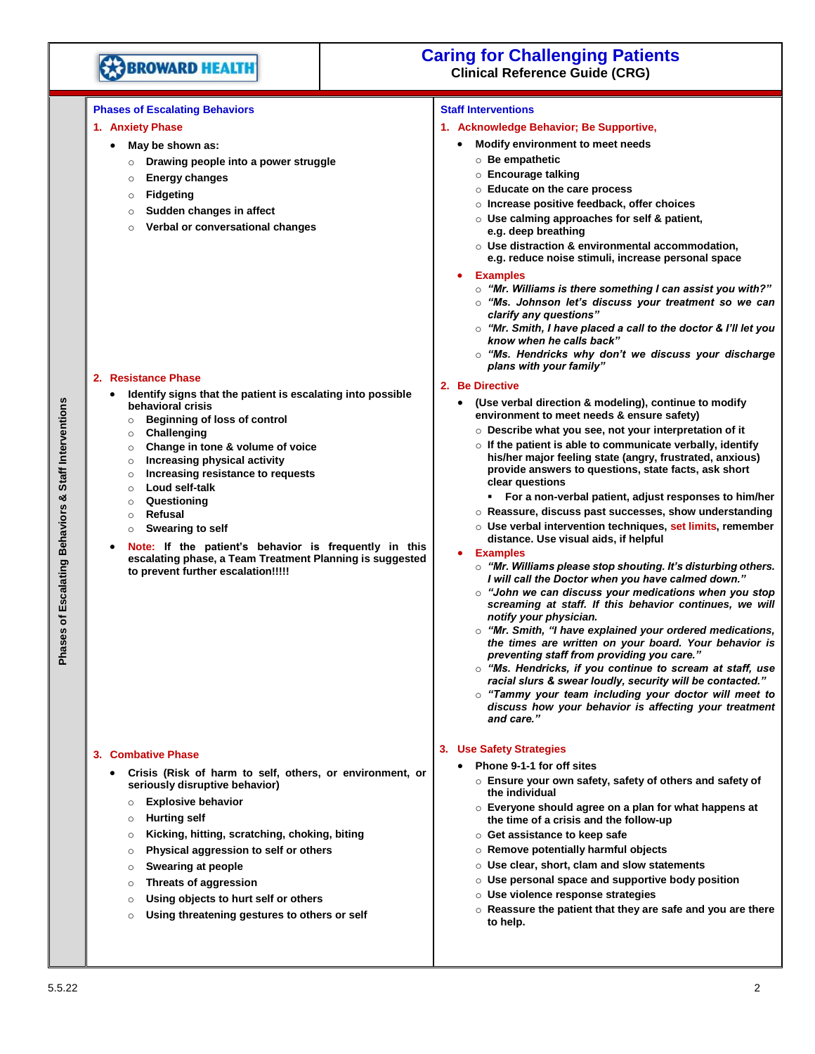

# **Caring for Challenging Patients Clinical Reference Guide (CRG)**

## **Phases of Escalating Behaviors**

#### **1. Anxiety Phase**

- **May be shown as:**
- o **Drawing people into a power struggle**
- o **Energy changes**
- o **Fidgeting**
- o **Sudden changes in affect**
- o **Verbal or conversational changes**

#### **2. Resistance Phase**

- **Identify signs that the patient is escalating into possible behavioral crisis**
	- o **Beginning of loss of control**
	- o **Challenging**
	- o **Change in tone & volume of voice**
	- o **Increasing physical activity**
- o **Increasing resistance to requests**
- o **Loud self-talk**
- o **Questioning**
- o **Refusal**
- o **Swearing to self**
- **Note: If the patient's behavior is frequently in this escalating phase, a Team Treatment Planning is suggested to prevent further escalation!!!!!**

#### **3. Combative Phase**

- **Crisis (Risk of harm to self, others, or environment, or seriously disruptive behavior)**
	- o **Explosive behavior**
	- o **Hurting self**
	- o **Kicking, hitting, scratching, choking, biting**
	- o **Physical aggression to self or others**
	- o **Swearing at people**
	- o **Threats of aggression**
	- o **Using objects to hurt self or others**
	- o **Using threatening gestures to others or self**

#### **Staff Interventions**

#### **1. Acknowledge Behavior; Be Supportive,**

- **Modify environment to meet needs**
	- o **Be empathetic**
	- o **Encourage talking**
	- o **Educate on the care process**
	- o **Increase positive feedback, offer choices**
	- o **Use calming approaches for self & patient, e.g. deep breathing**
	- o **Use distraction & environmental accommodation, e.g. reduce noise stimuli, increase personal space**
- **Examples**
	- o *"Mr. Williams is there something I can assist you with?"*
	- o *"Ms. Johnson let's discuss your treatment so we can clarify any questions"*
	- o *"Mr. Smith, I have placed a call to the doctor & I'll let you know when he calls back"*
	- o *"Ms. Hendricks why don't we discuss your discharge plans with your family"*

#### **2. Be Directive**

- **(Use verbal direction & modeling), continue to modify environment to meet needs & ensure safety)**
	- o **Describe what you see, not your interpretation of it**
	- o **If the patient is able to communicate verbally, identify his/her major feeling state (angry, frustrated, anxious) provide answers to questions, state facts, ask short clear questions**
	- **For a non-verbal patient, adjust responses to him/her**
	- o **Reassure, discuss past successes, show understanding**
	- o **Use verbal intervention techniques, set limits, remember distance. Use visual aids, if helpful**

#### • **Examples**

- o *"Mr. Williams please stop shouting. It's disturbing others. I will call the Doctor when you have calmed down."*
- o *"John we can discuss your medications when you stop screaming at staff. If this behavior continues, we will notify your physician.*
- o *"Mr. Smith, "I have explained your ordered medications, the times are written on your board. Your behavior is preventing staff from providing you care."*
- o *"Ms. Hendricks, if you continue to scream at staff, use racial slurs & swear loudly, security will be contacted."*
- o *"Tammy your team including your doctor will meet to discuss how your behavior is affecting your treatment and care."*

#### **3. Use Safety Strategies**

- **Phone 9-1-1 for off sites**
	- o **Ensure your own safety, safety of others and safety of the individual**
	- o **Everyone should agree on a plan for what happens at the time of a crisis and the follow-up**
	- o **Get assistance to keep safe**
	- o **Remove potentially harmful objects**
	- o **Use clear, short, clam and slow statements**
	- o **Use personal space and supportive body position**
	- o **Use violence response strategies**
	- o **Reassure the patient that they are safe and you are there to help.**

# Phases of Escalating Behaviors & Staff Interventions **Phases of Escalating Behaviors & Staff Interventions**